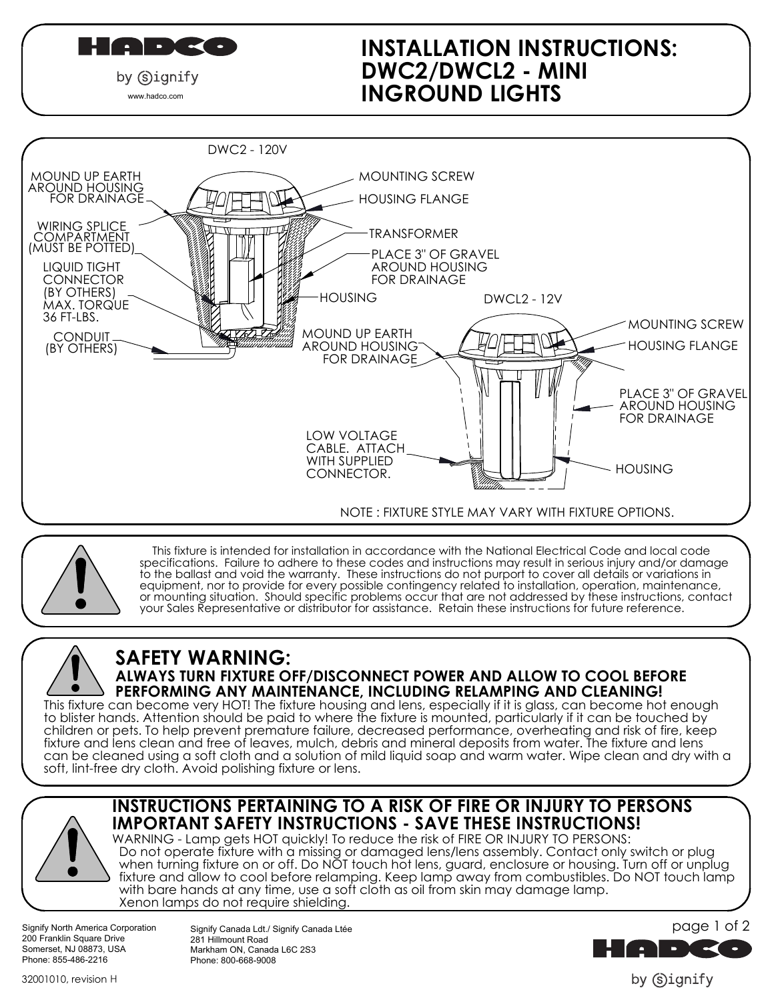

www.hadco.com

## INGROUND LIGHTS DWC2/DWCL2 - MINI INSTALLATION INSTRUCTIONS:





 This fixture is intended for installation in accordance with the National Electrical Code and local code specifications. Failure to adhere to these codes and instructions may result in serious injury and/or damage to the ballast and void the warranty. These instructions do not purport to cover all details or variations in equipment, nor to provide for every possible contingency related to installation, operation, maintenance, or mounting situation. Should specific problems occur that are not addressed by these instructions, contact your Sales Representative or distributor for assistance. Retain these instructions for future reference.

# SAFETY WARNING:

## ALWAYS TURN FIXTURE OFF/DISCONNECT POWER AND ALLOW TO COOL BEFORE PERFORMING ANY MAINTENANCE, INCLUDING RELAMPING AND CLEANING!

soft, lint-free dry cloth. Avoid polishing fixture or lens. can be cleaned using a soft cloth and a solution of mild liquid soap and warm water. Wipe clean and dry with a fixture and lens clean and free of leaves, mulch, debris and mineral deposits from water. The fixture and lens children or pets. To help prevent premature failure, decreased performance, overheating and risk of fire, keep to blister hands. Attention should be paid to where the fixture is mounted, particularly if it can be touched by This fixture can become very HOT! The fixture housing and lens, especially if it is glass, can become hot enough

### INSTRUCTIONS PERTAINING TO A RISK OF FIRE OR INJURY TO PERSONS IMPORTANT SAFETY INSTRUCTIONS - SAVE THESE INSTRUCTIONS!

 with bare hands at any time, use a soft cloth as oil from skin may damage lamp. Xenon lamps do not require shielding. WARNING - Lamp gets HOT quickly! To reduce the risk of FIRE OR INJURY TO PERSONS: Do not operate fixture with a missing or damaged lens/lens assembly. Contact only switch or plug when turning fixture on or off. Do NOT touch hot lens, guard, enclosure or housing. Turn off or unplug fixture and allow to cool before relamping. Keep lamp away from combustibles. Do NOT touch lamp

Signify North America Corporation 200 Franklin Square Drive Somerset, NJ 08873, USA Phone: 855-486-2216

Signify Canada Ldt./ Signify Canada Ltée 281 Hillmount Road Markham ON, Canada L6C 2S3 Phone: 800-668-9008



by (s)ignify